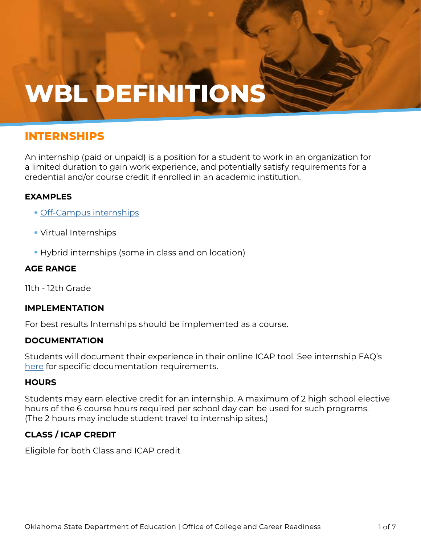# **WBL DEFINITIONS**

# **INTERNSHIPS**

An internship (paid or unpaid) is a position for a student to work in an organization for a limited duration to gain work experience, and potentially satisfy requirements for a credential and/or course credit if enrolled in an academic institution.

# **EXAMPLES**

- [Off-Campus internships](https://www.youtube.com/watch?v=SGnCRIxRe3Y&feature=youtu.be)
- Virtual Internships
- Hybrid internships (some in class and on location)

# **AGE RANGE**

11th - 12th Grade

# **IMPLEMENTATION**

For best results Internships should be implemented as a course.

# **DOCUMENTATION**

Students will document their experience in their online ICAP tool. See internship FAQ's [here](https://www.okedge.com/wp-content/uploads/2021/07/Business-Toolkit-2019-InternshipFAQs.pdf) for specific documentation requirements.

# **HOURS**

Students may earn elective credit for an internship. A maximum of 2 high school elective hours of the 6 course hours required per school day can be used for such programs. (The 2 hours may include student travel to internship sites.)

# **CLASS / ICAP CREDIT**

Eligible for both Class and ICAP credit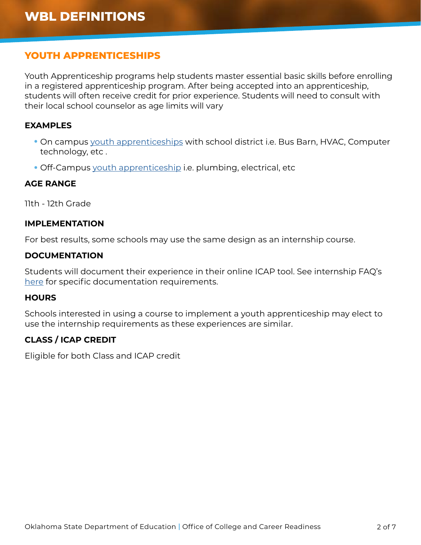# **YOUTH APPRENTICESHIPS**

Youth Apprenticeship programs help students master essential basic skills before enrolling in a registered apprenticeship program. After being accepted into an apprenticeship, students will often receive credit for prior experience. Students will need to consult with their local school counselor as age limits will vary

# **EXAMPLES**

- On campus [youth apprenticeships](https://youtu.be/8Xd6gjUGBok) with school district i.e. Bus Barn, HVAC, Computer technology, etc .
- Off-Campus [youth apprenticeship](https://youtu.be/oxvLfKUg2bI) i.e. plumbing, electrical, etc

# **AGE RANGE**

11th - 12th Grade

#### **IMPLEMENTATION**

For best results, some schools may use the same design as an internship course.

# **DOCUMENTATION**

Students will document their experience in their online ICAP tool. See internship FAQ's [here](https://www.okedge.com/wp-content/uploads/2021/07/Business-Toolkit-2019-InternshipFAQs.pdf) for specific documentation requirements.

# **HOURS**

Schools interested in using a course to implement a youth apprenticeship may elect to use the internship requirements as these experiences are similar.

# **CLASS / ICAP CREDIT**

Eligible for both Class and ICAP credit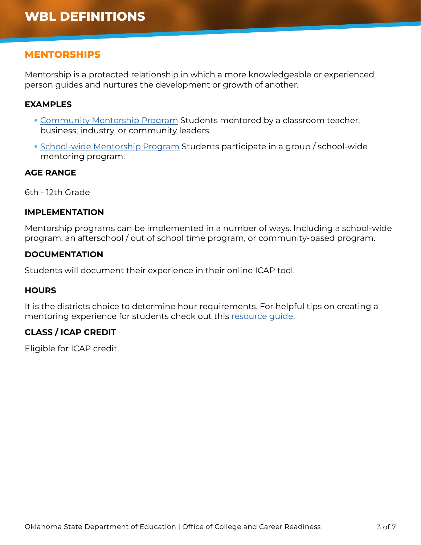# **MENTORSHIPS**

Mentorship is a protected relationship in which a more knowledgeable or experienced person guides and nurtures the development or growth of another.

# **EXAMPLES**

- [Community Mentorship Program](https://youtu.be/oxvLfKUg2bI)) Students mentored by a classroom teacher, business, industry, or community leaders.
- [School-wide Mentorship Program](https://www.normanpublicschools.org/Page/2468) Students participate in a group / school-wide mentoring program.

# **AGE RANGE**

6th - 12th Grade

# **IMPLEMENTATION**

Mentorship programs can be implemented in a number of ways. Including a school-wide program, an afterschool / out of school time program, or community-based program.

# **DOCUMENTATION**

Students will document their experience in their online ICAP tool.

# **HOURS**

It is the districts choice to determine hour requirements. For helpful tips on creating a mentoring experience for students check out this [resource guide.](https://ctyou.org/pluginfile.php/637430/mod_folder/content/0/Mentoring/Mentoring Guide.pdf?forcedownload=1)

# **CLASS / ICAP CREDIT**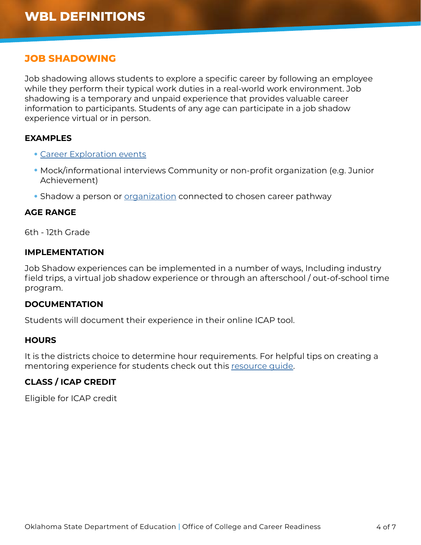# **JOB SHADOWING**

Job shadowing allows students to explore a specific career by following an employee while they perform their typical work duties in a real-world work environment. Job shadowing is a temporary and unpaid experience that provides valuable career information to participants. Students of any age can participate in a job shadow experience virtual or in person.

#### **EXAMPLES**

- [Career Exploration events](https://oklahomaworks.gov/careerexposureweek/)
- Mock/informational interviews Community or non-profit organization (e.g. Junior Achievement)
- Shadow a person or *organization* connected to chosen career pathway

#### **AGE RANGE**

6th - 12th Grade

#### **IMPLEMENTATION**

Job Shadow experiences can be implemented in a number of ways, Including industry field trips, a virtual job shadow experience or through an afterschool / out-of-school time program.

#### **DOCUMENTATION**

Students will document their experience in their online ICAP tool.

#### **HOURS**

It is the districts choice to determine hour requirements. For helpful tips on creating a mentoring experience for students check out this [resource guide.](https://ctyou.org/pluginfile.php/637430/mod_folder/content/0/Job Shadows/Job_Shadows Guide.pdf?forcedownload=1)

# **CLASS / ICAP CREDIT**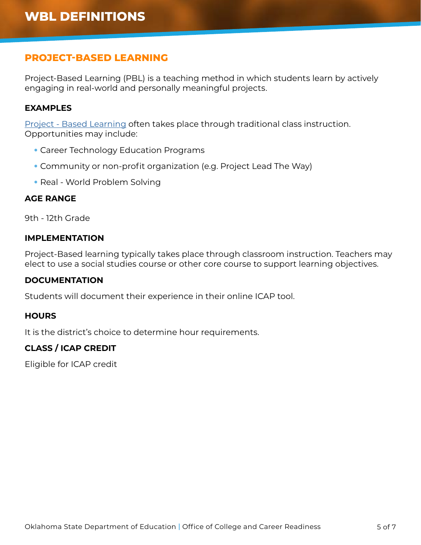# **PROJECT-BASED LEARNING**

Project-Based Learning (PBL) is a teaching method in which students learn by actively engaging in real-world and personally meaningful projects.

# **EXAMPLES**

[Project - Based Learning](https://www.okedge.com/wp-content/uploads/2021/10/Project-Based-Learning.pdf) often takes place through traditional class instruction. Opportunities may include:

- Career Technology Education Programs
- Community or non-profit organization (e.g. Project Lead The Way)
- Real World Problem Solving

# **AGE RANGE**

9th - 12th Grade

# **IMPLEMENTATION**

Project-Based learning typically takes place through classroom instruction. Teachers may elect to use a social studies course or other core course to support learning objectives.

# **DOCUMENTATION**

Students will document their experience in their online ICAP tool.

# **HOURS**

It is the district's choice to determine hour requirements.

# **CLASS / ICAP CREDIT**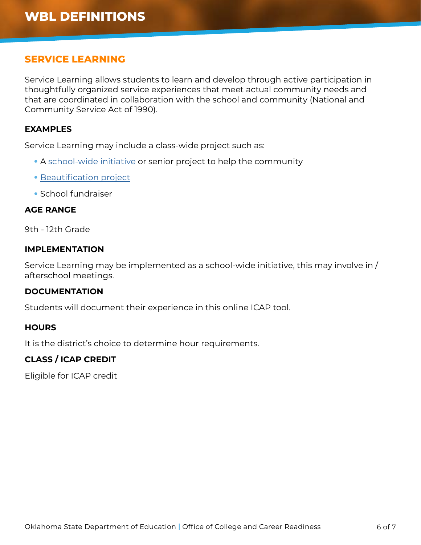# **SERVICE LEARNING**

Service Learning allows students to learn and develop through active participation in thoughtfully organized service experiences that meet actual community needs and that are coordinated in collaboration with the school and community (National and Community Service Act of 1990).

# **EXAMPLES**

Service Learning may include a class-wide project such as:

- A [school-wide initiative](https://www.swineweek.org/history/) or senior project to help the community
- [Beautification project](https://www.okedge.com/ko-beautification-presentation/)
- School fundraiser

#### **AGE RANGE**

9th - 12th Grade

# **IMPLEMENTATION**

Service Learning may be implemented as a school-wide initiative, this may involve in / afterschool meetings.

# **DOCUMENTATION**

Students will document their experience in this online ICAP tool.

# **HOURS**

It is the district's choice to determine hour requirements.

# **CLASS / ICAP CREDIT**